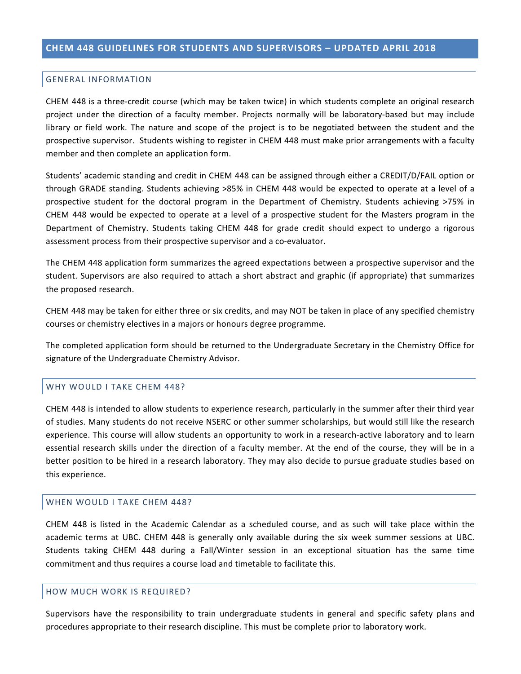#### **GENERAL INFORMATION**

CHEM 448 is a three-credit course (which may be taken twice) in which students complete an original research project under the direction of a faculty member. Projects normally will be laboratory-based but may include library or field work. The nature and scope of the project is to be negotiated between the student and the prospective supervisor. Students wishing to register in CHEM 448 must make prior arrangements with a faculty member and then complete an application form.

Students' academic standing and credit in CHEM 448 can be assigned through either a CREDIT/D/FAIL option or through GRADE standing. Students achieving >85% in CHEM 448 would be expected to operate at a level of a prospective student for the doctoral program in the Department of Chemistry. Students achieving  $>75\%$  in CHEM 448 would be expected to operate at a level of a prospective student for the Masters program in the Department of Chemistry. Students taking CHEM 448 for grade credit should expect to undergo a rigorous assessment process from their prospective supervisor and a co-evaluator.

The CHEM 448 application form summarizes the agreed expectations between a prospective supervisor and the student. Supervisors are also required to attach a short abstract and graphic (if appropriate) that summarizes the proposed research.

CHEM 448 may be taken for either three or six credits, and may NOT be taken in place of any specified chemistry courses or chemistry electives in a majors or honours degree programme.

The completed application form should be returned to the Undergraduate Secretary in the Chemistry Office for signature of the Undergraduate Chemistry Advisor.

#### WHY WOULD I TAKE CHEM 448?

CHEM 448 is intended to allow students to experience research, particularly in the summer after their third year of studies. Many students do not receive NSERC or other summer scholarships, but would still like the research experience. This course will allow students an opportunity to work in a research-active laboratory and to learn essential research skills under the direction of a faculty member. At the end of the course, they will be in a better position to be hired in a research laboratory. They may also decide to pursue graduate studies based on this experience.

### WHEN WOULD I TAKE CHEM 448?

CHEM 448 is listed in the Academic Calendar as a scheduled course, and as such will take place within the academic terms at UBC. CHEM 448 is generally only available during the six week summer sessions at UBC. Students taking CHEM 448 during a Fall/Winter session in an exceptional situation has the same time commitment and thus requires a course load and timetable to facilitate this.

# HOW MUCH WORK IS REQUIRED?

Supervisors have the responsibility to train undergraduate students in general and specific safety plans and procedures appropriate to their research discipline. This must be complete prior to laboratory work.